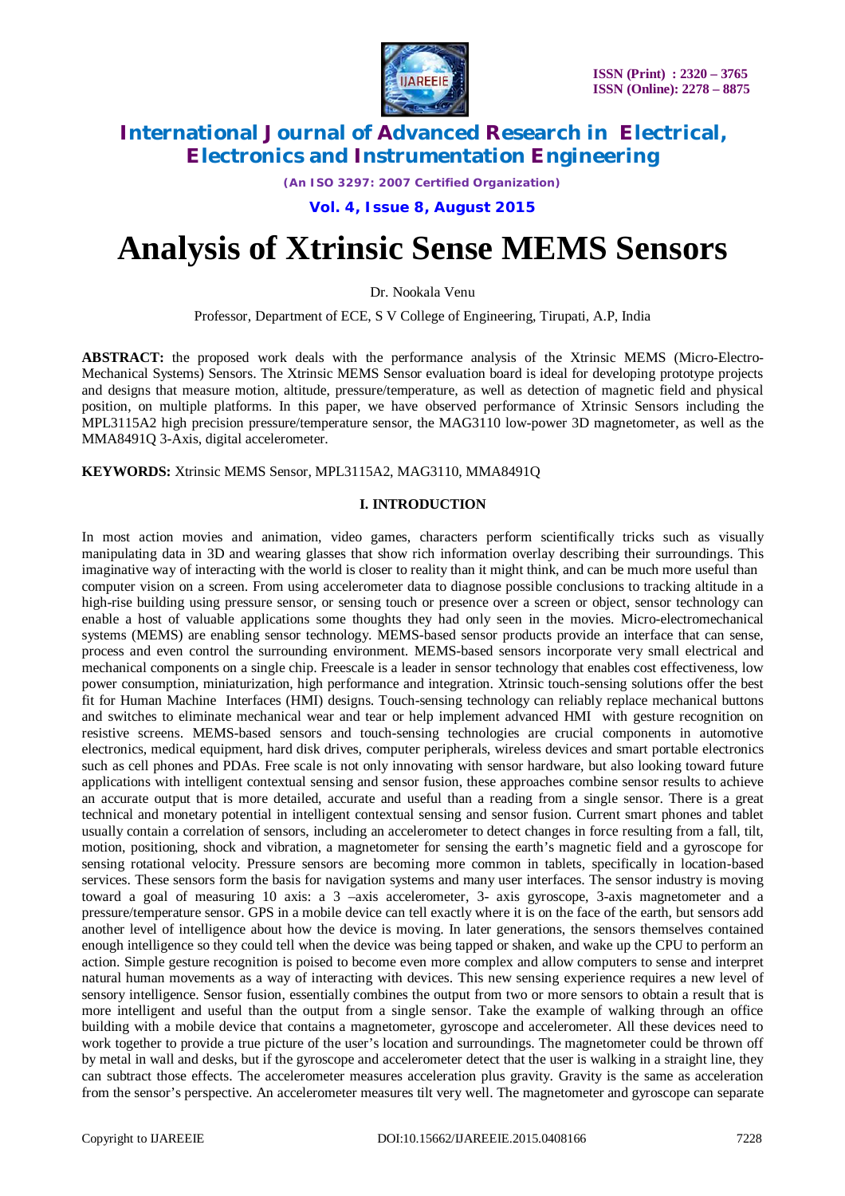

*(An ISO 3297: 2007 Certified Organization)*

**Vol. 4, Issue 8, August 2015**

# **Analysis of Xtrinsic Sense MEMS Sensors**

Dr. Nookala Venu

Professor, Department of ECE, S V College of Engineering, Tirupati, A.P, India

**ABSTRACT:** the proposed work deals with the performance analysis of the Xtrinsic MEMS (Micro-Electro-Mechanical Systems) Sensors. The Xtrinsic MEMS Sensor evaluation board is ideal for developing prototype projects and designs that measure motion, altitude, pressure/temperature, as well as detection of magnetic field and physical position, on multiple platforms. In this paper, we have observed performance of Xtrinsic Sensors including the MPL3115A2 high precision pressure/temperature sensor, the MAG3110 low-power 3D magnetometer, as well as the MMA8491Q 3-Axis, digital accelerometer.

**KEYWORDS:** Xtrinsic MEMS Sensor, MPL3115A2, MAG3110, MMA8491Q

#### **I. INTRODUCTION**

In most action movies and animation, video games, characters perform scientifically tricks such as visually manipulating data in 3D and wearing glasses that show rich information overlay describing their surroundings. This imaginative way of interacting with the world is closer to reality than it might think, and can be much more useful than computer vision on a screen. From using accelerometer data to diagnose possible conclusions to tracking altitude in a high-rise building using pressure sensor, or sensing touch or presence over a screen or object, sensor technology can enable a host of valuable applications some thoughts they had only seen in the movies. Micro-electromechanical systems (MEMS) are enabling sensor technology. MEMS-based sensor products provide an interface that can sense, process and even control the surrounding environment. MEMS-based sensors incorporate very small electrical and mechanical components on a single chip. Freescale is a leader in sensor technology that enables cost effectiveness, low power consumption, miniaturization, high performance and integration. Xtrinsic touch-sensing solutions offer the best fit for Human Machine Interfaces (HMI) designs. Touch-sensing technology can reliably replace mechanical buttons and switches to eliminate mechanical wear and tear or help implement advanced HMI with gesture recognition on resistive screens. MEMS-based sensors and touch-sensing technologies are crucial components in automotive electronics, medical equipment, hard disk drives, computer peripherals, wireless devices and smart portable electronics such as cell phones and PDAs. Free scale is not only innovating with sensor hardware, but also looking toward future applications with intelligent contextual sensing and sensor fusion, these approaches combine sensor results to achieve an accurate output that is more detailed, accurate and useful than a reading from a single sensor. There is a great technical and monetary potential in intelligent contextual sensing and sensor fusion. Current smart phones and tablet usually contain a correlation of sensors, including an accelerometer to detect changes in force resulting from a fall, tilt, motion, positioning, shock and vibration, a magnetometer for sensing the earth's magnetic field and a gyroscope for sensing rotational velocity. Pressure sensors are becoming more common in tablets, specifically in location-based services. These sensors form the basis for navigation systems and many user interfaces. The sensor industry is moving toward a goal of measuring 10 axis: a 3 –axis accelerometer, 3- axis gyroscope, 3-axis magnetometer and a pressure/temperature sensor. GPS in a mobile device can tell exactly where it is on the face of the earth, but sensors add another level of intelligence about how the device is moving. In later generations, the sensors themselves contained enough intelligence so they could tell when the device was being tapped or shaken, and wake up the CPU to perform an action. Simple gesture recognition is poised to become even more complex and allow computers to sense and interpret natural human movements as a way of interacting with devices. This new sensing experience requires a new level of sensory intelligence. Sensor fusion, essentially combines the output from two or more sensors to obtain a result that is more intelligent and useful than the output from a single sensor. Take the example of walking through an office building with a mobile device that contains a magnetometer, gyroscope and accelerometer. All these devices need to work together to provide a true picture of the user's location and surroundings. The magnetometer could be thrown off by metal in wall and desks, but if the gyroscope and accelerometer detect that the user is walking in a straight line, they can subtract those effects. The accelerometer measures acceleration plus gravity. Gravity is the same as acceleration from the sensor's perspective. An accelerometer measures tilt very well. The magnetometer and gyroscope can separate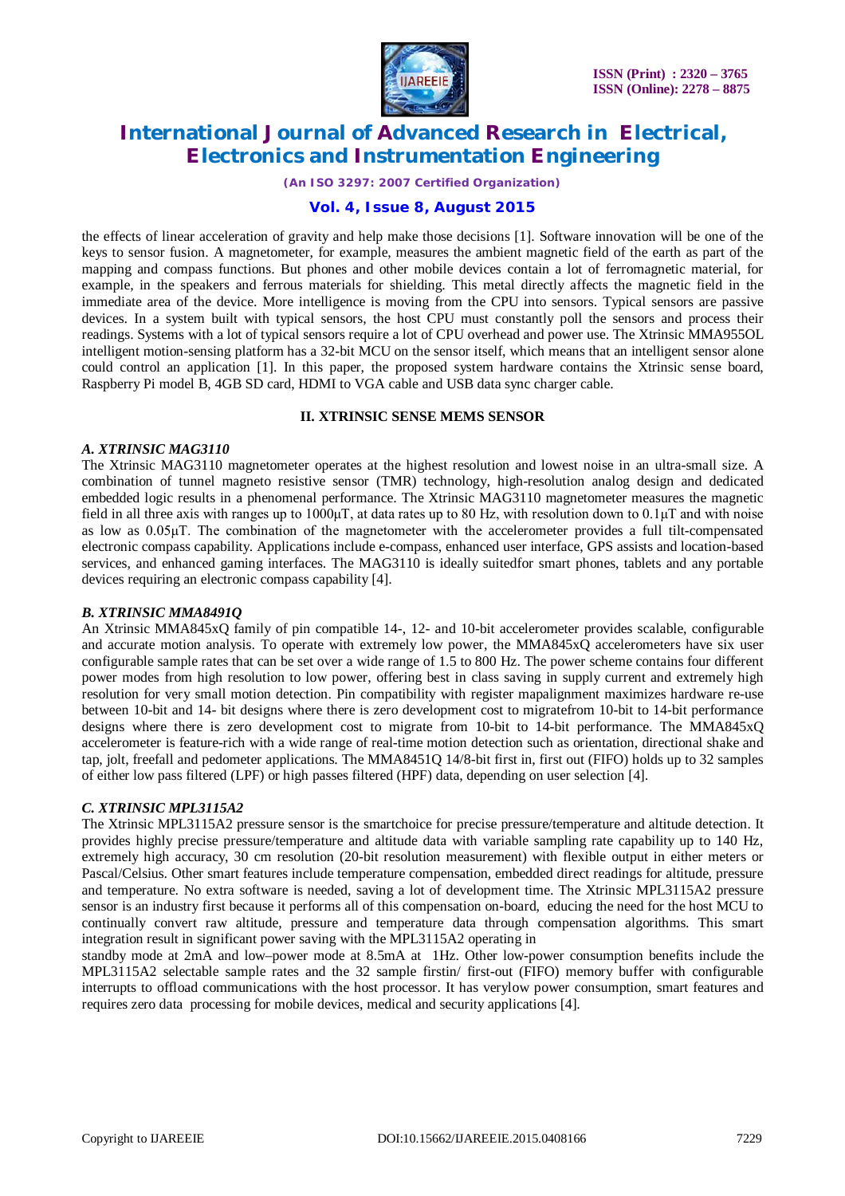

*(An ISO 3297: 2007 Certified Organization)*

## **Vol. 4, Issue 8, August 2015**

the effects of linear acceleration of gravity and help make those decisions [1]. Software innovation will be one of the keys to sensor fusion. A magnetometer, for example, measures the ambient magnetic field of the earth as part of the mapping and compass functions. But phones and other mobile devices contain a lot of ferromagnetic material, for example, in the speakers and ferrous materials for shielding. This metal directly affects the magnetic field in the immediate area of the device. More intelligence is moving from the CPU into sensors. Typical sensors are passive devices. In a system built with typical sensors, the host CPU must constantly poll the sensors and process their readings. Systems with a lot of typical sensors require a lot of CPU overhead and power use. The Xtrinsic MMA955OL intelligent motion-sensing platform has a 32-bit MCU on the sensor itself, which means that an intelligent sensor alone could control an application [1]. In this paper, the proposed system hardware contains the Xtrinsic sense board, Raspberry Pi model B, 4GB SD card, HDMI to VGA cable and USB data sync charger cable.

## **II. XTRINSIC SENSE MEMS SENSOR**

## *A. XTRINSIC MAG3110*

The Xtrinsic MAG3110 magnetometer operates at the highest resolution and lowest noise in an ultra-small size. A combination of tunnel magneto resistive sensor (TMR) technology, high-resolution analog design and dedicated embedded logic results in a phenomenal performance. The Xtrinsic MAG3110 magnetometer measures the magnetic field in all three axis with ranges up to  $1000\mu$ T, at data rates up to 80 Hz, with resolution down to  $0.1\mu$ T and with noise as low as 0.05μT. The combination of the magnetometer with the accelerometer provides a full tilt-compensated electronic compass capability. Applications include e-compass, enhanced user interface, GPS assists and location-based services, and enhanced gaming interfaces. The MAG3110 is ideally suitedfor smart phones, tablets and any portable devices requiring an electronic compass capability [4].

## *B. XTRINSIC MMA8491Q*

An Xtrinsic MMA845xQ family of pin compatible 14-, 12- and 10-bit accelerometer provides scalable, configurable and accurate motion analysis. To operate with extremely low power, the MMA845xQ accelerometers have six user configurable sample rates that can be set over a wide range of 1.5 to 800 Hz. The power scheme contains four different power modes from high resolution to low power, offering best in class saving in supply current and extremely high resolution for very small motion detection. Pin compatibility with register mapalignment maximizes hardware re-use between 10-bit and 14- bit designs where there is zero development cost to migratefrom 10-bit to 14-bit performance designs where there is zero development cost to migrate from 10-bit to 14-bit performance. The MMA845xQ accelerometer is feature-rich with a wide range of real-time motion detection such as orientation, directional shake and tap, jolt, freefall and pedometer applications. The MMA8451Q 14/8-bit first in, first out (FIFO) holds up to 32 samples of either low pass filtered (LPF) or high passes filtered (HPF) data, depending on user selection [4].

## *C. XTRINSIC MPL3115A2*

The Xtrinsic MPL3115A2 pressure sensor is the smartchoice for precise pressure/temperature and altitude detection. It provides highly precise pressure/temperature and altitude data with variable sampling rate capability up to 140 Hz, extremely high accuracy, 30 cm resolution (20-bit resolution measurement) with flexible output in either meters or Pascal/Celsius. Other smart features include temperature compensation, embedded direct readings for altitude, pressure and temperature. No extra software is needed, saving a lot of development time. The Xtrinsic MPL3115A2 pressure sensor is an industry first because it performs all of this compensation on-board, educing the need for the host MCU to continually convert raw altitude, pressure and temperature data through compensation algorithms. This smart integration result in significant power saving with the MPL3115A2 operating in

standby mode at 2mA and low–power mode at 8.5mA at 1Hz. Other low-power consumption benefits include the MPL3115A2 selectable sample rates and the 32 sample firstin/ first-out (FIFO) memory buffer with configurable interrupts to offload communications with the host processor. It has verylow power consumption, smart features and requires zero data processing for mobile devices, medical and security applications [4].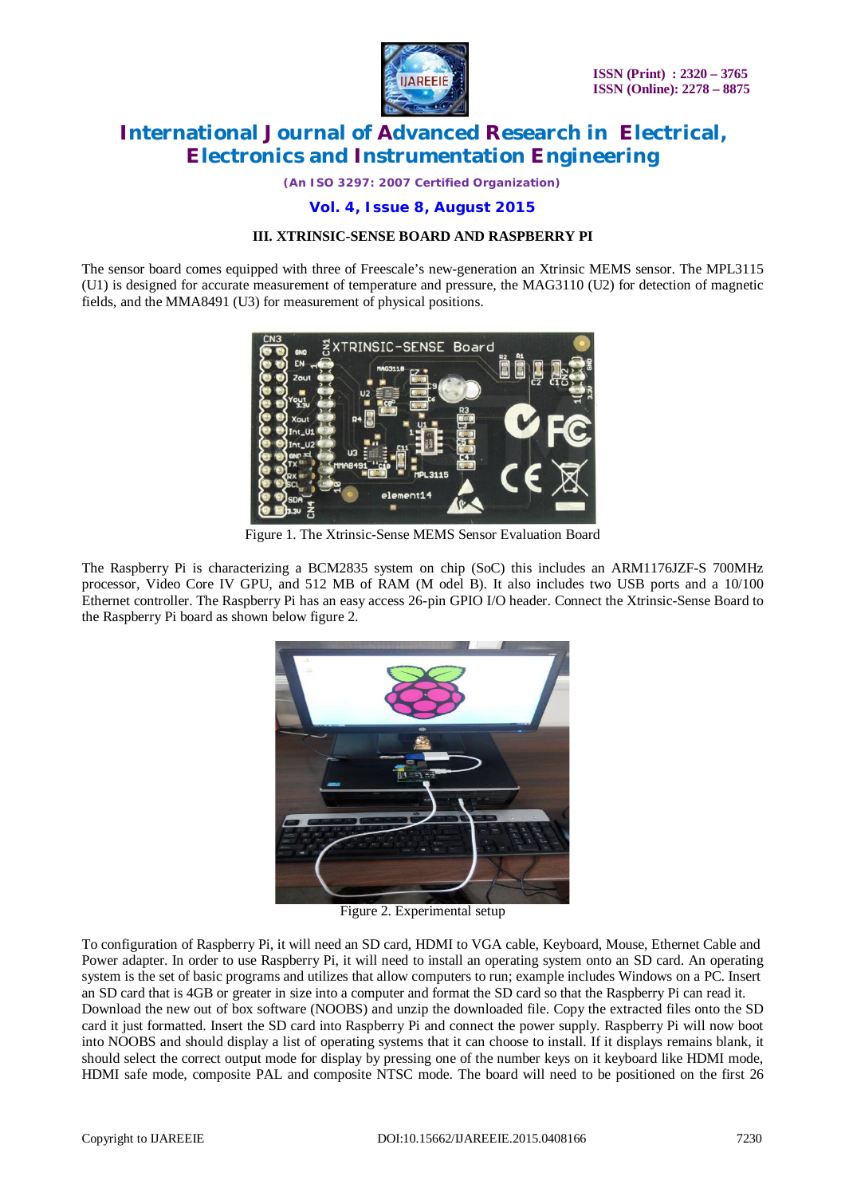

*(An ISO 3297: 2007 Certified Organization)*

# **Vol. 4, Issue 8, August 2015**

#### **III. XTRINSIC-SENSE BOARD AND RASPBERRY PI**

The sensor board comes equipped with three of Freescale's new-generation an Xtrinsic MEMS sensor. The MPL3115 (U1) is designed for accurate measurement of temperature and pressure, the MAG3110 (U2) for detection of magnetic fields, and the MMA8491 (U3) for measurement of physical positions.



Figure 1. The Xtrinsic-Sense MEMS Sensor Evaluation Board

The Raspberry Pi is characterizing a BCM2835 system on chip (SoC) this includes an ARM1176JZF-S 700MHz processor, Video Core IV GPU, and 512 MB of RAM (M odel B). It also includes two USB ports and a 10/100 Ethernet controller. The Raspberry Pi has an easy access 26-pin GPIO I/O header. Connect the Xtrinsic-Sense Board to the Raspberry Pi board as shown below figure 2.



Figure 2. Experimental setup

To configuration of Raspberry Pi, it will need an SD card, HDMI to VGA cable, Keyboard, Mouse, Ethernet Cable and Power adapter. In order to use Raspberry Pi, it will need to install an operating system onto an SD card. An operating system is the set of basic programs and utilizes that allow computers to run; example includes Windows on a PC. Insert an SD card that is 4GB or greater in size into a computer and format the SD card so that the Raspberry Pi can read it. Download the new out of box software (NOOBS) and unzip the downloaded file. Copy the extracted files onto the SD card it just formatted. Insert the SD card into Raspberry Pi and connect the power supply. Raspberry Pi will now boot into NOOBS and should display a list of operating systems that it can choose to install. If it displays remains blank, it should select the correct output mode for display by pressing one of the number keys on it keyboard like HDMI mode, HDMI safe mode, composite PAL and composite NTSC mode. The board will need to be positioned on the first 26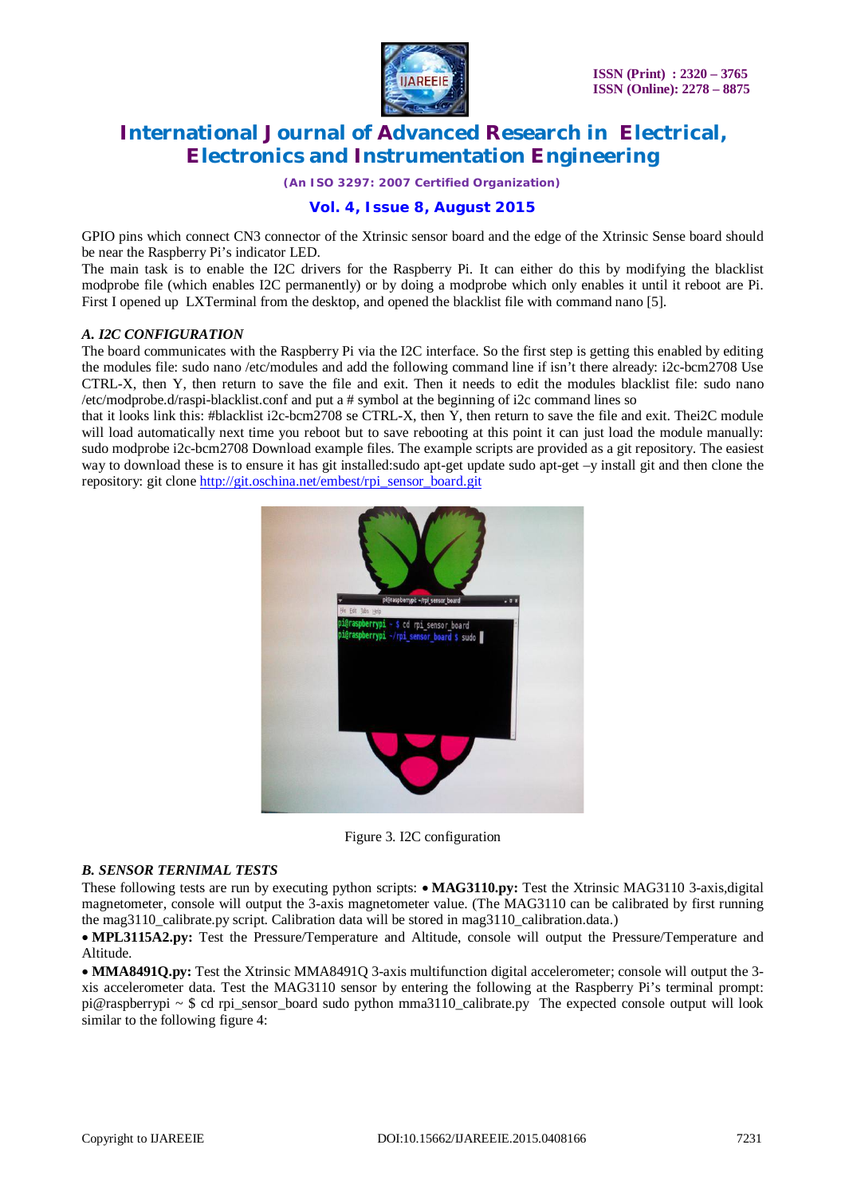

*(An ISO 3297: 2007 Certified Organization)*

# **Vol. 4, Issue 8, August 2015**

GPIO pins which connect CN3 connector of the Xtrinsic sensor board and the edge of the Xtrinsic Sense board should be near the Raspberry Pi's indicator LED.

The main task is to enable the I2C drivers for the Raspberry Pi. It can either do this by modifying the blacklist modprobe file (which enables I2C permanently) or by doing a modprobe which only enables it until it reboot are Pi. First I opened up LXTerminal from the desktop, and opened the blacklist file with command nano [5].

## *A. I2C CONFIGURATION*

The board communicates with the Raspberry Pi via the I2C interface. So the first step is getting this enabled by editing the modules file: sudo nano /etc/modules and add the following command line if isn't there already: i2c-bcm2708 Use CTRL-X, then Y, then return to save the file and exit. Then it needs to edit the modules blacklist file: sudo nano /etc/modprobe.d/raspi-blacklist.conf and put a # symbol at the beginning of i2c command lines so

that it looks link this: #blacklist i2c-bcm2708 se CTRL-X, then Y, then return to save the file and exit. Thei2C module will load automatically next time you reboot but to save rebooting at this point it can just load the module manually: sudo modprobe i2c-bcm2708 Download example files. The example scripts are provided as a git repository. The easiest way to download these is to ensure it has git installed:sudo apt-get update sudo apt-get –y install git and then clone the repository: git clone [http://git.oschina.net/embest/rpi\\_sensor\\_board.git](http://git.oschina.net/embest/rpi_sensor_board.git)



Figure 3. I2C configuration

## *B. SENSOR TERNIMAL TESTS*

These following tests are run by executing python scripts: **MAG3110.py:** Test the Xtrinsic MAG3110 3-axis,digital magnetometer, console will output the 3-axis magnetometer value. (The MAG3110 can be calibrated by first running the mag3110\_calibrate.py script. Calibration data will be stored in mag3110\_calibration.data.)

**MPL3115A2.py:** Test the Pressure/Temperature and Altitude, console will output the Pressure/Temperature and Altitude.

**MMA8491Q.py:** Test the Xtrinsic MMA8491Q 3-axis multifunction digital accelerometer; console will output the 3 xis accelerometer data. Test the MAG3110 sensor by entering the following at the Raspberry Pi's terminal prompt: pi@raspberrypi ~ \$ cd rpi sensor board sudo python mma3110 calibrate.py The expected console output will look similar to the following figure 4: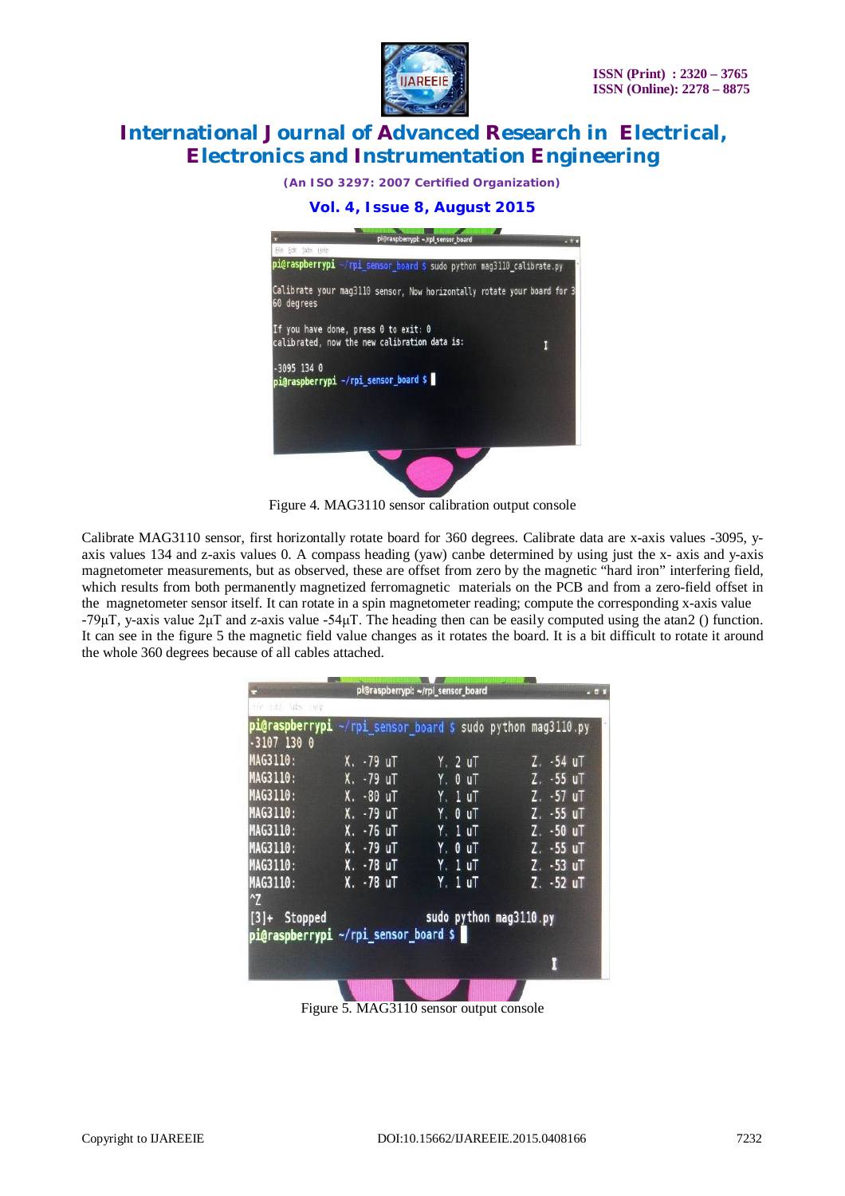

*(An ISO 3297: 2007 Certified Organization)*

# **Vol. 4, Issue 8, August 2015**



Figure 4. MAG3110 sensor calibration output console

Calibrate MAG3110 sensor, first horizontally rotate board for 360 degrees. Calibrate data are x-axis values -3095, yaxis values 134 and z-axis values 0. A compass heading (yaw) canbe determined by using just the x- axis and y-axis magnetometer measurements, but as observed, these are offset from zero by the magnetic "hard iron" interfering field, which results from both permanently magnetized ferromagnetic materials on the PCB and from a zero-field offset in the magnetometer sensor itself. It can rotate in a spin magnetometer reading; compute the corresponding x-axis value -79μT, y-axis value 2μT and z-axis value -54μT. The heading then can be easily computed using the atan2 () function. It can see in the figure 5 the magnetic field value changes as it rotates the board. It is a bit difficult to rotate it around the whole 360 degrees because of all cables attached.

| He at labs rice                                        |                        | pl@raspberrypl: ~/rpl sensor board                          | $-0x$                    |
|--------------------------------------------------------|------------------------|-------------------------------------------------------------|--------------------------|
| $-3107$ 130 0                                          |                        | pi@raspberrypi ~/rpi sensor board \$ sudo python mag3110.py |                          |
| MAG3110:<br>MAG3110:                                   | X. -79 uT<br>X. -79 uT | Y. 2 uT<br>Y. 0 uT                                          | Z. -54 uT<br>$Z. -55$ uT |
| MAG3110:                                               | X. -80 uT              | Y. 1 uT                                                     | Z. -57 uT                |
| MAG3110:<br>MAG3110:                                   | X. -79 uT<br>X. -76 uT | Y. 0 uT<br>Y. 1 uT                                          | Z. -55 uT<br>Z. -50 uT   |
| MAG3110:<br>MAG3110:                                   | X. -79 uT<br>X. -78 uT | Y. OuT<br><b>Y.</b> 1 uT                                    | Z. -55 uT<br>Z. -53 uT   |
| <b>MAG3110:</b><br>$\gamma$                            | X. -78 uT              | Y. 1 uT                                                     | Z. -52 uT                |
| $[3]+$ Stopped<br>pi@raspberrypi ~/rpi sensor board \$ |                        | sudo python mag3110.py                                      |                          |
|                                                        |                        |                                                             |                          |
|                                                        |                        |                                                             |                          |

Figure 5. MAG3110 sensor output console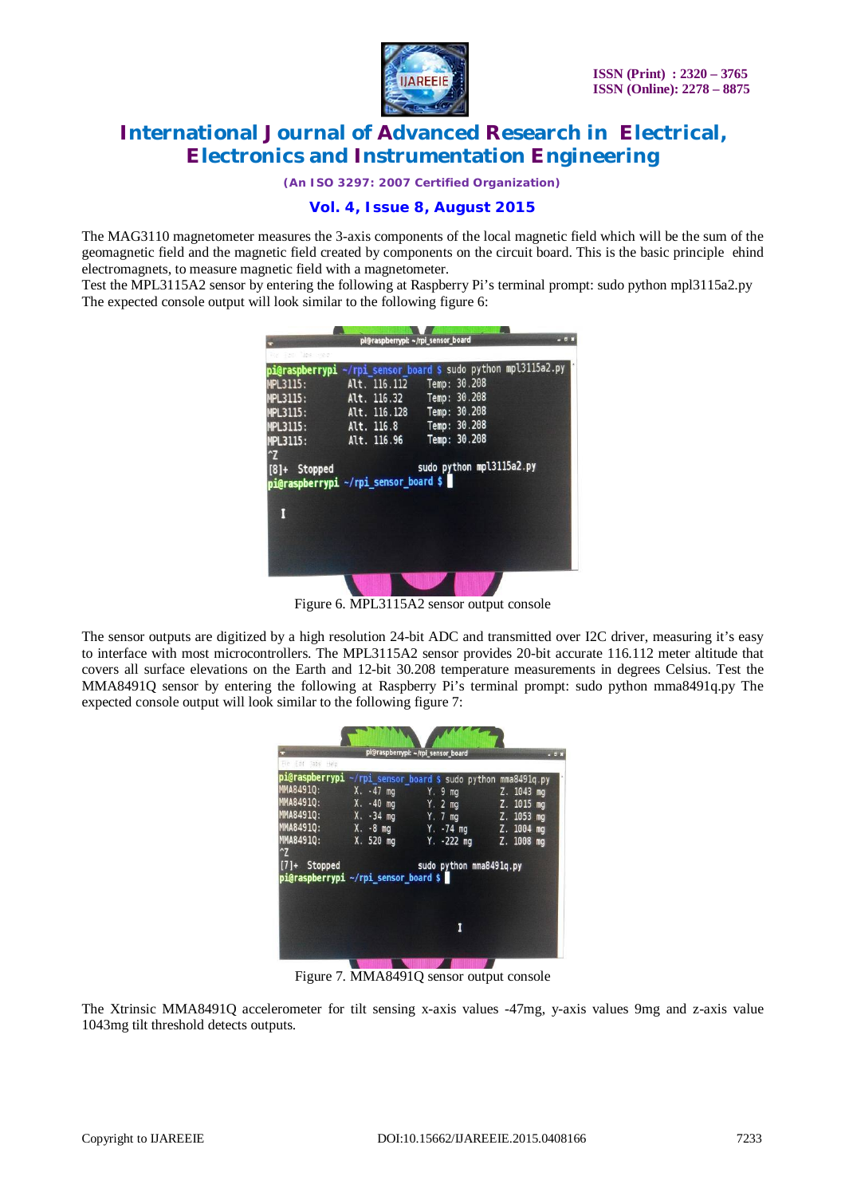

*(An ISO 3297: 2007 Certified Organization)*

# **Vol. 4, Issue 8, August 2015**

The MAG3110 magnetometer measures the 3-axis components of the local magnetic field which will be the sum of the geomagnetic field and the magnetic field created by components on the circuit board. This is the basic principle ehind electromagnets, to measure magnetic field with a magnetometer.

Test the MPL3115A2 sensor by entering the following at Raspberry Pi's terminal prompt: sudo python mpl3115a2.py The expected console output will look similar to the following figure 6:

| pi@raspberrypi ~/rpi sensor board \$ sudo python mpl3115a2.py<br>Alt. 116.112 Temp: 30.208<br><b>MPL3115:</b><br>Alt. 116.32 Temp: 30.208<br><b>MPL3115:</b><br>Alt. 116.128 Temp: 30.208<br><b>MPL3115:</b><br>Alt. 116.8 Temp: 30.208<br><b>MPL3115:</b><br>Temp: 30.208<br>Alt. 116.96<br><b>MPL3115:</b><br>$\mathbf{r}$<br>sudo python mpl3115a2.py<br>[8]+ Stopped<br>pi@raspberrypi ~/rpi_sensor_board \$ | $-7.8$ | pi@raspberrypi: ~/rpi_sensor_board |                  |
|------------------------------------------------------------------------------------------------------------------------------------------------------------------------------------------------------------------------------------------------------------------------------------------------------------------------------------------------------------------------------------------------------------------|--------|------------------------------------|------------------|
|                                                                                                                                                                                                                                                                                                                                                                                                                  |        |                                    | East Table steep |
|                                                                                                                                                                                                                                                                                                                                                                                                                  |        |                                    |                  |
|                                                                                                                                                                                                                                                                                                                                                                                                                  |        |                                    |                  |
|                                                                                                                                                                                                                                                                                                                                                                                                                  |        |                                    |                  |
|                                                                                                                                                                                                                                                                                                                                                                                                                  |        |                                    |                  |
|                                                                                                                                                                                                                                                                                                                                                                                                                  |        |                                    |                  |
|                                                                                                                                                                                                                                                                                                                                                                                                                  |        |                                    |                  |
|                                                                                                                                                                                                                                                                                                                                                                                                                  |        |                                    |                  |
|                                                                                                                                                                                                                                                                                                                                                                                                                  |        |                                    |                  |
|                                                                                                                                                                                                                                                                                                                                                                                                                  |        |                                    |                  |
|                                                                                                                                                                                                                                                                                                                                                                                                                  |        |                                    |                  |
|                                                                                                                                                                                                                                                                                                                                                                                                                  |        |                                    |                  |
|                                                                                                                                                                                                                                                                                                                                                                                                                  |        |                                    |                  |
|                                                                                                                                                                                                                                                                                                                                                                                                                  |        |                                    |                  |
|                                                                                                                                                                                                                                                                                                                                                                                                                  |        |                                    |                  |
|                                                                                                                                                                                                                                                                                                                                                                                                                  |        |                                    |                  |

Figure 6. MPL3115A2 sensor output console

The sensor outputs are digitized by a high resolution 24-bit ADC and transmitted over I2C driver, measuring it's easy to interface with most microcontrollers. The MPL3115A2 sensor provides 20-bit accurate 116.112 meter altitude that covers all surface elevations on the Earth and 12-bit 30.208 temperature measurements in degrees Celsius. Test the MMA8491Q sensor by entering the following at Raspberry Pi's terminal prompt: sudo python mma8491q.py The expected console output will look similar to the following figure 7:

| File Edit Tabs Help |                                      | pi@raspberrypi: ~/rpi_sensor_board                           |  |
|---------------------|--------------------------------------|--------------------------------------------------------------|--|
|                     |                                      | pi@raspberrypi ~/rpi_sensor_board \$ sudo python mma849lq.py |  |
|                     |                                      | MMA8491Q: X. -47 mg Y. 9 mg Z. 1043 mg                       |  |
|                     |                                      | MMA8491Q: X. -40 mg Y. 2 mg Z. 1015 mg                       |  |
|                     |                                      | MMA8491Q: X. -34 mg Y. 7 mg Z. 1053 mg                       |  |
|                     |                                      | MMA8491Q: X. -8 mg Y. -74 mg Z. 1004 mg                      |  |
| $^{\circ}Z$         |                                      | MMA8491Q: X. 520 mg Y. -222 mg Z. 1008 mg                    |  |
| $[7]+$ Stopped      |                                      | sudo python mma8491q.py                                      |  |
|                     | pi@raspberrypi ~/rpi_sensor_board \$ |                                                              |  |
|                     |                                      |                                                              |  |
|                     |                                      |                                                              |  |
|                     |                                      |                                                              |  |
|                     |                                      |                                                              |  |
|                     |                                      |                                                              |  |

Figure 7. MMA8491Q sensor output console

The Xtrinsic MMA8491Q accelerometer for tilt sensing x-axis values -47mg, y-axis values 9mg and z-axis value 1043mg tilt threshold detects outputs.